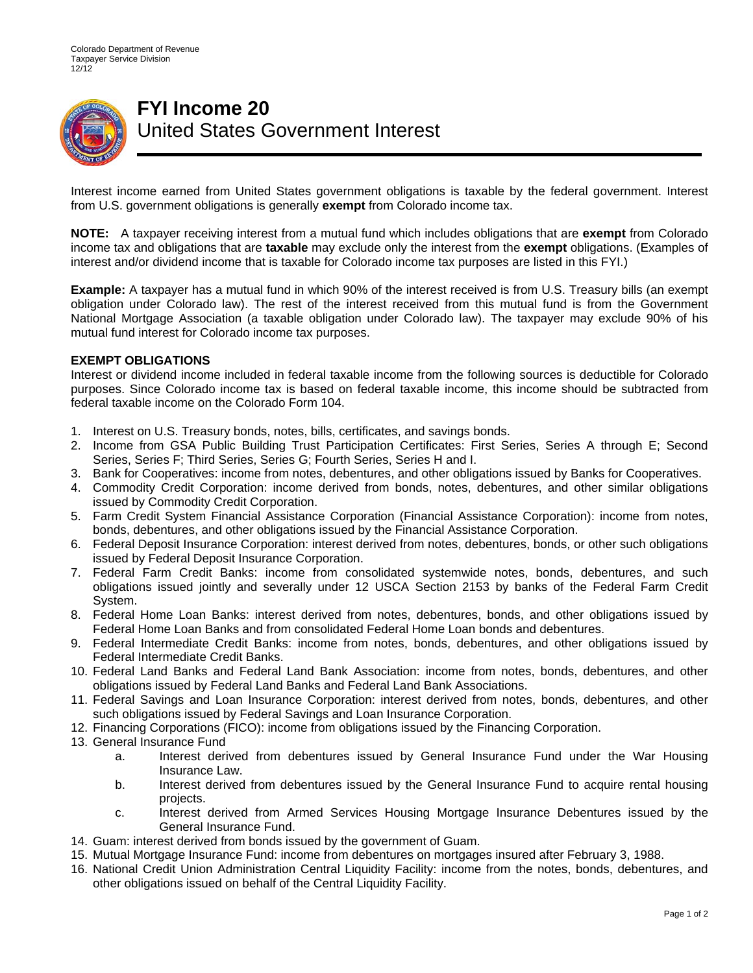

## **FYI Income 20**  United States Government Interest

Interest income earned from United States government obligations is taxable by the federal government. Interest from U.S. government obligations is generally **exempt** from Colorado income tax.

**NOTE:** A taxpayer receiving interest from a mutual fund which includes obligations that are **exempt** from Colorado income tax and obligations that are **taxable** may exclude only the interest from the **exempt** obligations. (Examples of interest and/or dividend income that is taxable for Colorado income tax purposes are listed in this FYI.)

**Example:** A taxpayer has a mutual fund in which 90% of the interest received is from U.S. Treasury bills (an exempt obligation under Colorado law). The rest of the interest received from this mutual fund is from the Government National Mortgage Association (a taxable obligation under Colorado law). The taxpayer may exclude 90% of his mutual fund interest for Colorado income tax purposes.

## **EXEMPT OBLIGATIONS**

Interest or dividend income included in federal taxable income from the following sources is deductible for Colorado purposes. Since Colorado income tax is based on federal taxable income, this income should be subtracted from federal taxable income on the Colorado Form 104.

- 1. Interest on U.S. Treasury bonds, notes, bills, certificates, and savings bonds.
- 2. Income from GSA Public Building Trust Participation Certificates: First Series, Series A through E; Second Series, Series F; Third Series, Series G; Fourth Series, Series H and I.
- 3. Bank for Cooperatives: income from notes, debentures, and other obligations issued by Banks for Cooperatives.
- 4. Commodity Credit Corporation: income derived from bonds, notes, debentures, and other similar obligations issued by Commodity Credit Corporation.
- 5. Farm Credit System Financial Assistance Corporation (Financial Assistance Corporation): income from notes, bonds, debentures, and other obligations issued by the Financial Assistance Corporation.
- 6. Federal Deposit Insurance Corporation: interest derived from notes, debentures, bonds, or other such obligations issued by Federal Deposit Insurance Corporation.
- 7. Federal Farm Credit Banks: income from consolidated systemwide notes, bonds, debentures, and such obligations issued jointly and severally under 12 USCA Section 2153 by banks of the Federal Farm Credit System.
- 8. Federal Home Loan Banks: interest derived from notes, debentures, bonds, and other obligations issued by Federal Home Loan Banks and from consolidated Federal Home Loan bonds and debentures.
- 9. Federal Intermediate Credit Banks: income from notes, bonds, debentures, and other obligations issued by Federal Intermediate Credit Banks.
- 10. Federal Land Banks and Federal Land Bank Association: income from notes, bonds, debentures, and other obligations issued by Federal Land Banks and Federal Land Bank Associations.
- 11. Federal Savings and Loan Insurance Corporation: interest derived from notes, bonds, debentures, and other such obligations issued by Federal Savings and Loan Insurance Corporation.
- 12. Financing Corporations (FICO): income from obligations issued by the Financing Corporation.
- 13. General Insurance Fund
	- a. Interest derived from debentures issued by General Insurance Fund under the War Housing Insurance Law.
	- b. Interest derived from debentures issued by the General Insurance Fund to acquire rental housing projects.
	- c. Interest derived from Armed Services Housing Mortgage Insurance Debentures issued by the General Insurance Fund.
- 14. Guam: interest derived from bonds issued by the government of Guam.
- 15. Mutual Mortgage Insurance Fund: income from debentures on mortgages insured after February 3, 1988.
- 16. National Credit Union Administration Central Liquidity Facility: income from the notes, bonds, debentures, and other obligations issued on behalf of the Central Liquidity Facility.